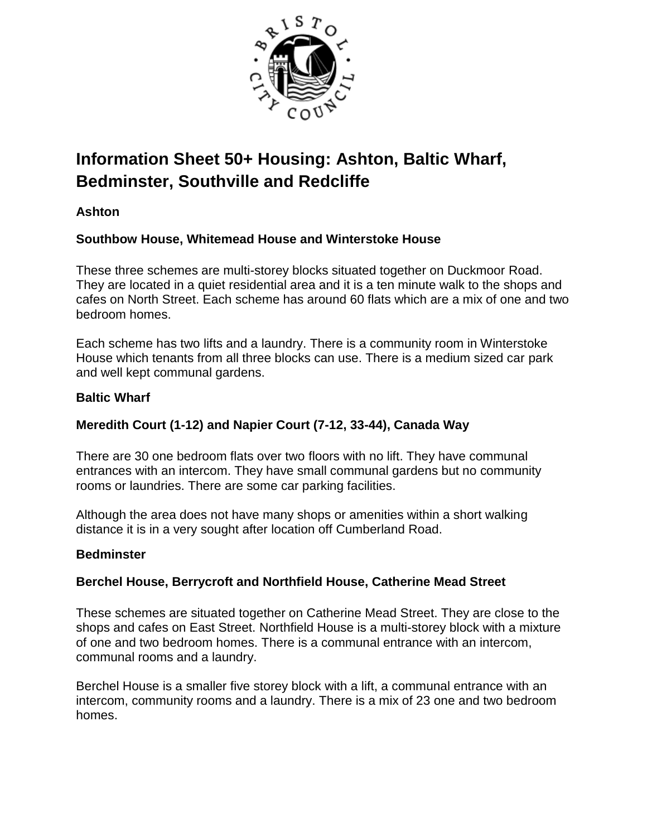

# **Information Sheet 50+ Housing: Ashton, Baltic Wharf, Bedminster, Southville and Redcliffe**

## **Ashton**

## **Southbow House, Whitemead House and Winterstoke House**

These three schemes are multi-storey blocks situated together on Duckmoor Road. They are located in a quiet residential area and it is a ten minute walk to the shops and cafes on North Street. Each scheme has around 60 flats which are a mix of one and two bedroom homes.

Each scheme has two lifts and a laundry. There is a community room in Winterstoke House which tenants from all three blocks can use. There is a medium sized car park and well kept communal gardens.

### **Baltic Wharf**

## **Meredith Court (1-12) and Napier Court (7-12, 33-44), Canada Way**

There are 30 one bedroom flats over two floors with no lift. They have communal entrances with an intercom. They have small communal gardens but no community rooms or laundries. There are some car parking facilities.

Although the area does not have many shops or amenities within a short walking distance it is in a very sought after location off Cumberland Road.

#### **Bedminster**

## **Berchel House, Berrycroft and Northfield House, Catherine Mead Street**

These schemes are situated together on Catherine Mead Street. They are close to the shops and cafes on East Street. Northfield House is a multi-storey block with a mixture of one and two bedroom homes. There is a communal entrance with an intercom, communal rooms and a laundry.

Berchel House is a smaller five storey block with a lift, a communal entrance with an intercom, community rooms and a laundry. There is a mix of 23 one and two bedroom homes.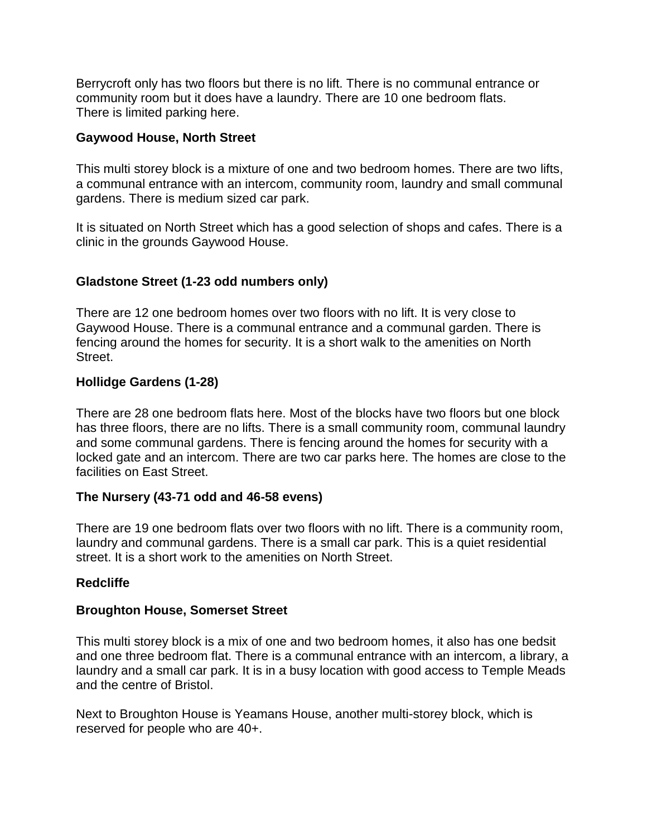Berrycroft only has two floors but there is no lift. There is no communal entrance or community room but it does have a laundry. There are 10 one bedroom flats. There is limited parking here.

#### **Gaywood House, North Street**

This multi storey block is a mixture of one and two bedroom homes. There are two lifts, a communal entrance with an intercom, community room, laundry and small communal gardens. There is medium sized car park.

It is situated on North Street which has a good selection of shops and cafes. There is a clinic in the grounds Gaywood House.

## **Gladstone Street (1-23 odd numbers only)**

There are 12 one bedroom homes over two floors with no lift. It is very close to Gaywood House. There is a communal entrance and a communal garden. There is fencing around the homes for security. It is a short walk to the amenities on North Street.

#### **Hollidge Gardens (1-28)**

There are 28 one bedroom flats here. Most of the blocks have two floors but one block has three floors, there are no lifts. There is a small community room, communal laundry and some communal gardens. There is fencing around the homes for security with a locked gate and an intercom. There are two car parks here. The homes are close to the facilities on East Street.

#### **The Nursery (43-71 odd and 46-58 evens)**

There are 19 one bedroom flats over two floors with no lift. There is a community room, laundry and communal gardens. There is a small car park. This is a quiet residential street. It is a short work to the amenities on North Street.

#### **Redcliffe**

#### **Broughton House, Somerset Street**

This multi storey block is a mix of one and two bedroom homes, it also has one bedsit and one three bedroom flat. There is a communal entrance with an intercom, a library, a laundry and a small car park. It is in a busy location with good access to Temple Meads and the centre of Bristol.

Next to Broughton House is Yeamans House, another multi-storey block, which is reserved for people who are 40+.